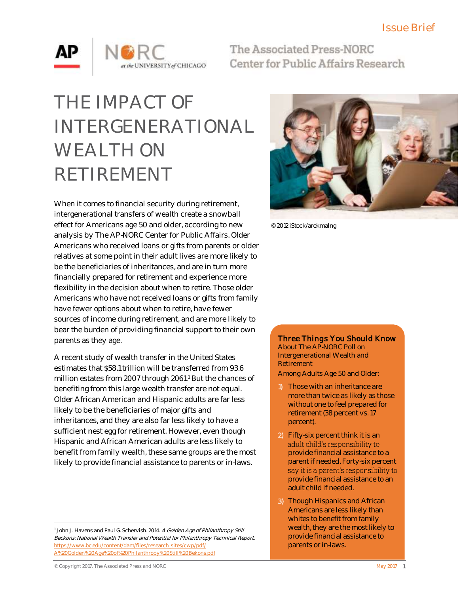

The Associated Press-NORC Center for Public Affairs Research

# THE IMPACT OF INTERGENERATIONAL WEALTH ON RETIREMENT

When it comes to financial security during retirement, intergenerational transfers of wealth create a snowball effect for Americans age 50 and older, according to new analysis by The AP-NORC Center for Public Affairs. Older Americans who received loans or gifts from parents or older relatives at some point in their adult lives are more likely to be the beneficiaries of inheritances, and are in turn more financially prepared for retirement and experience more flexibility in the decision about when to retire. Those older Americans who have not received loans or gifts from family have fewer options about when to retire, have fewer sources of income during retirement, and are more likely to bear the burden of providing financial support to their own parents as they age.

A recent study of wealth transfer in the United States estimates that \$58.1 trillion will be transferred from 93.6 million estates from 2007 through 2061.<sup>1</sup> But the chances of benefiting from this large wealth transfer are not equal. Older African American and Hispanic adults are far less likely to be the beneficiaries of major gifts and inheritances, and they are also far less likely to have a sufficient nest egg for retirement. However, even though Hispanic and African American adults are less likely to benefit from family wealth, these same groups are the most likely to provide financial assistance to parents or in-laws.



© 2012 iStock/arekmalng

## Three Things You Should Know

About The AP-NORC Poll on Intergenerational Wealth and Retirement

Among Adults Age 50 and Older:

- 1) Those with an inheritance are more than twice as likely as those without one to feel prepared for retirement (38 percent vs. 17 percent).
- 2) Fifty-six percent think it is an adult child's responsibility to provide financial assistance to a parent if needed. Forty-six percent say it is a parent's responsibility to provide financial assistance to an adult child if needed.
- 3) Though Hispanics and African Americans are less likely than whites to benefit from family wealth, they are the most likely to provide financial assistance to parents or in-laws.

l

<sup>&</sup>lt;sup>1</sup> John J. Havens and Paul G. Schervish. 2014. A Golden Age of Philanthropy Still Beckons: National Wealth Transfer and Potential for Philanthropy Technical Report. [https://www.bc.edu/content/dam/files/research\\_sites/cwp/pdf/](http://www.bc.edu/content/dam/files/research_sites/cwp/pdf/A%20Golden%20Age%20of%20Philanthropy%20Still%20Bekons.pdf) [A%20Golden%20Age%20of%20Philanthropy%20Still%20Bekons.pdf](http://www.bc.edu/content/dam/files/research_sites/cwp/pdf/A%20Golden%20Age%20of%20Philanthropy%20Still%20Bekons.pdf)

<sup>©</sup> Copyright 2017. The Associated Press and NORC May 2017 1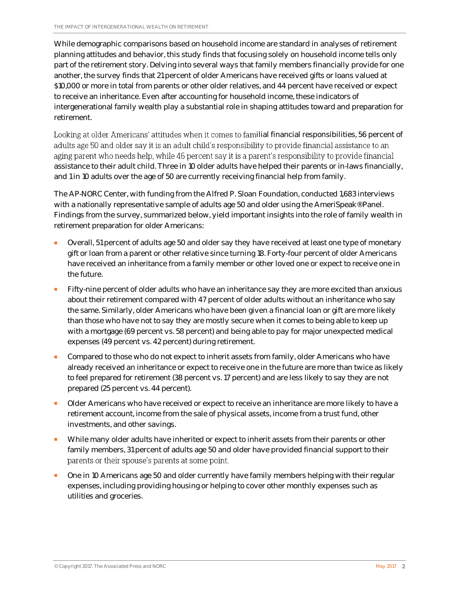While demographic comparisons based on household income are standard in analyses of retirement planning attitudes and behavior, this study finds that focusing solely on household income tells only part of the retirement story. Delving into several ways that family members financially provide for one another, the survey finds that 21 percent of older Americans have received gifts or loans valued at \$10,000 or more in total from parents or other older relatives, and 44 percent have received or expect to receive an inheritance. Even after accounting for household income, these indicators of intergenerational family wealth play a substantial role in shaping attitudes toward and preparation for retirement.

Looking at older Americans' attitudes when it comes to familial financial responsibilities, 56 percent of adults age 50 and older say it is an adult child's responsibility to provide financial assistance to an aging parent who needs help, while 46 percent say it is a parent's responsibility to provide financial assistance to their adult child. Three in 10 older adults have helped their parents or in-laws financially, and 1 in 10 adults over the age of 50 are currently receiving financial help from family.

The AP-NORC Center, with funding from the Alfred P. Sloan Foundation, conducted 1,683 interviews with a nationally representative sample of adults age 50 and older using the AmeriSpeak® Panel. Findings from the survey, summarized below, yield important insights into the role of family wealth in retirement preparation for older Americans:

- Overall, 51 percent of adults age 50 and older say they have received at least one type of monetary gift or loan from a parent or other relative since turning 18. Forty-four percent of older Americans have received an inheritance from a family member or other loved one or expect to receive one in the future.
- Fifty-nine percent of older adults who have an inheritance say they are more excited than anxious about their retirement compared with 47 percent of older adults without an inheritance who say the same. Similarly, older Americans who have been given a financial loan or gift are more likely than those who have not to say they are mostly secure when it comes to being able to keep up with a mortgage (69 percent vs. 58 percent) and being able to pay for major unexpected medical expenses (49 percent vs. 42 percent) during retirement.
- Compared to those who do not expect to inherit assets from family, older Americans who have already received an inheritance or expect to receive one in the future are more than twice as likely to feel prepared for retirement (38 percent vs. 17 percent) and are less likely to say they are not prepared (25 percent vs. 44 percent).
- Older Americans who have received or expect to receive an inheritance are more likely to have a retirement account, income from the sale of physical assets, income from a trust fund, other investments, and other savings.
- While many older adults have inherited or expect to inherit assets from their parents or other family members, 31 percent of adults age 50 and older have provided financial support to their parents or their spouse's parents at some point.
- One in 10 Americans age 50 and older currently have family members helping with their regular expenses, including providing housing or helping to cover other monthly expenses such as utilities and groceries.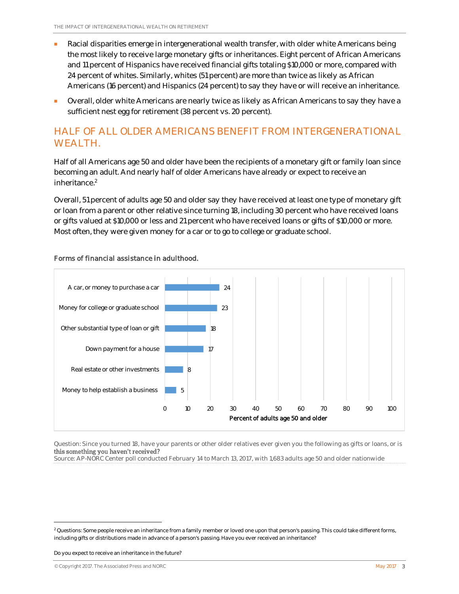- Racial disparities emerge in intergenerational wealth transfer, with older white Americans being the most likely to receive large monetary gifts or inheritances. Eight percent of African Americans and 11 percent of Hispanics have received financial gifts totaling \$10,000 or more, compared with 24 percent of whites. Similarly, whites (51 percent) are more than twice as likely as African Americans (16 percent) and Hispanics (24 percent) to say they have or will receive an inheritance.
- Overall, older white Americans are nearly twice as likely as African Americans to say they have a sufficient nest egg for retirement (38 percent vs. 20 percent).

# HALF OF ALL OLDER AMERICANS BENEFIT FROM INTERGENERATIONAL WEALTH.

Half of all Americans age 50 and older have been the recipients of a monetary gift or family loan since becoming an adult. And nearly half of older Americans have already or expect to receive an inheritance. 2

Overall, 51 percent of adults age 50 and older say they have received at least one type of monetary gift or loan from a parent or other relative since turning 18, including 30 percent who have received loans or gifts valued at \$10,000 or less and 21 percent who have received loans or gifts of \$10,000 or more. Most often, they were given money for a car or to go to college or graduate school.



#### Forms of financial assistance in adulthood.

Question: Since you turned 18, have your parents or other older relatives ever given you the following as gifts or loans, or is this something you haven't received?

Source: AP-NORC Center poll conducted February 14 to March 13, 2017, with 1,683 adults age 50 and older nationwide

Do you expect to receive an inheritance in the future?

l

 $2$  Questions: Some people receive an inheritance from a family member or loved one upon that person's passing. This could take different forms, including gifts or distributions made in advance of a person's passing. Have you ever received an inheritance?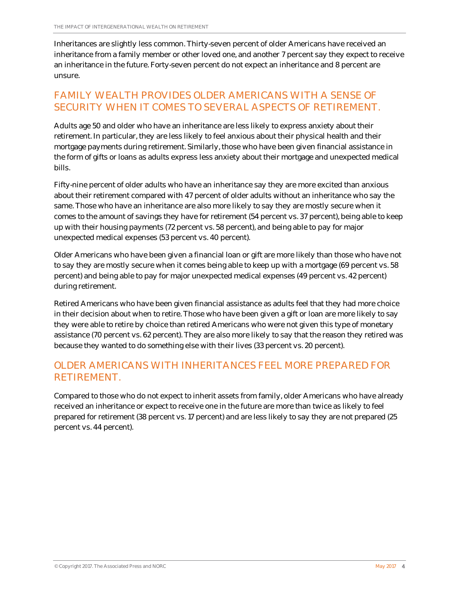Inheritances are slightly less common. Thirty-seven percent of older Americans have received an inheritance from a family member or other loved one, and another 7 percent say they expect to receive an inheritance in the future. Forty-seven percent do not expect an inheritance and 8 percent are unsure.

## FAMILY WEALTH PROVIDES OLDER AMERICANS WITH A SENSE OF SECURITY WHEN IT COMES TO SEVERAL ASPECTS OF RETIREMENT.

Adults age 50 and older who have an inheritance are less likely to express anxiety about their retirement. In particular, they are less likely to feel anxious about their physical health and their mortgage payments during retirement. Similarly, those who have been given financial assistance in the form of gifts or loans as adults express less anxiety about their mortgage and unexpected medical bills.

Fifty-nine percent of older adults who have an inheritance say they are more excited than anxious about their retirement compared with 47 percent of older adults without an inheritance who say the same. Those who have an inheritance are also more likely to say they are mostly secure when it comes to the amount of savings they have for retirement (54 percent vs. 37 percent), being able to keep up with their housing payments (72 percent vs. 58 percent), and being able to pay for major unexpected medical expenses (53 percent vs. 40 percent).

Older Americans who have been given a financial loan or gift are more likely than those who have not to say they are mostly secure when it comes being able to keep up with a mortgage (69 percent vs. 58 percent) and being able to pay for major unexpected medical expenses (49 percent vs. 42 percent) during retirement.

Retired Americans who have been given financial assistance as adults feel that they had more choice in their decision about when to retire. Those who have been given a gift or loan are more likely to say they were able to retire by choice than retired Americans who were not given this type of monetary assistance (70 percent vs. 62 percent). They are also more likely to say that the reason they retired was because they wanted to do something else with their lives (33 percent vs. 20 percent).

## OLDER AMERICANS WITH INHERITANCES FEEL MORE PREPARED FOR RETIREMENT.

Compared to those who do not expect to inherit assets from family, older Americans who have already received an inheritance or expect to receive one in the future are more than twice as likely to feel prepared for retirement (38 percent vs. 17 percent) and are less likely to say they are not prepared (25 percent vs. 44 percent).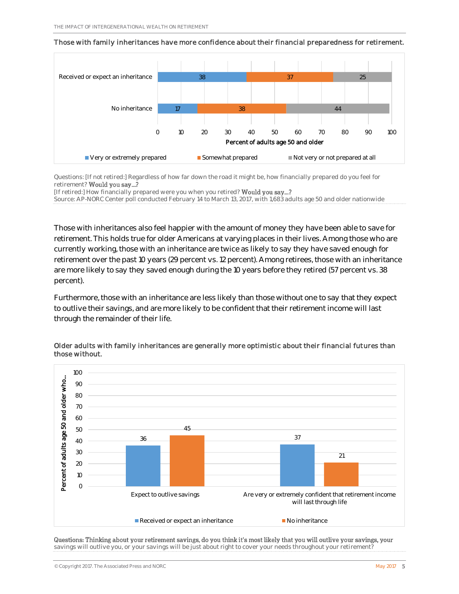

Those with family inheritances have more confidence about their financial preparedness for retirement.

Questions: [If not retired:] Regardless of how far down the road it might be, how financially prepared do you feel for retirement? Would you say...?

[If retired:] How financially prepared were you when you retired? Would you say...?

Source: AP-NORC Center poll conducted February 14 to March 13, 2017, with 1,683 adults age 50 and older nationwide

Those with inheritances also feel happier with the amount of money they have been able to save for retirement. This holds true for older Americans at varying places in their lives. Among those who are currently working, those with an inheritance are twice as likely to say they have saved enough for retirement over the past 10 years (29 percent vs. 12 percent). Among retirees, those with an inheritance are more likely to say they saved enough during the 10 years before they retired (57 percent vs. 38 percent).

Furthermore, those with an inheritance are less likely than those without one to say that they expect to outlive their savings, and are more likely to be confident that their retirement income will last through the remainder of their life.



#### Older adults with family inheritances are generally more optimistic about their financial futures than those without.

Questions: Thinking about your retirement savings, do you think it's most likely that you will outlive your savings, your savings will outlive you, or your savings will be just about right to cover your needs throughout your retirement?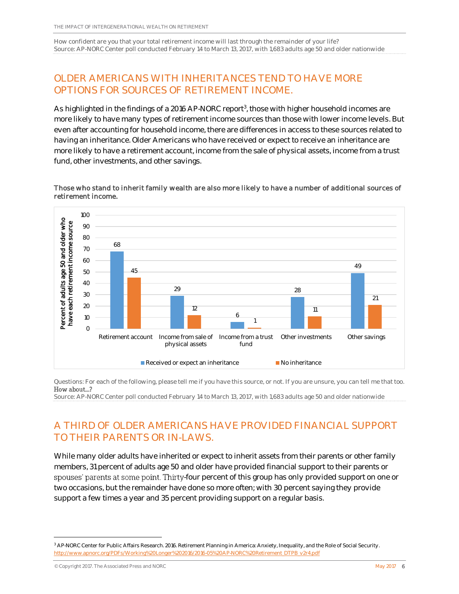How confident are you that your total retirement income will last through the remainder of your life? Source: AP-NORC Center poll conducted February 14 to March 13, 2017, with 1,683 adults age 50 and older nationwide

# OLDER AMERICANS WITH INHERITANCES TEND TO HAVE MORE OPTIONS FOR SOURCES OF RETIREMENT INCOME.

As highlighted in the findings of a 2016 AP-NORC report<sup>3</sup>, those with higher household incomes are more likely to have many types of retirement income sources than those with lower income levels. But even after accounting for household income, there are differences in access to these sources related to having an inheritance. Older Americans who have received or expect to receive an inheritance are more likely to have a retirement account, income from the sale of physical assets, income from a trust fund, other investments, and other savings.



#### Those who stand to inherit family wealth are also more likely to have a number of additional sources of retirement income.

Questions: For each of the following, please tell me if you have this source, or not. If you are unsure, you can tell me that too. How about...?

Source: AP-NORC Center poll conducted February 14 to March 13, 2017, with 1,683 adults age 50 and older nationwide

# A THIRD OF OLDER AMERICANS HAVE PROVIDED FINANCIAL SUPPORT TO THEIR PARENTS OR IN-LAWS.

While many older adults have inherited or expect to inherit assets from their parents or other family members, 31 percent of adults age 50 and older have provided financial support to their parents or spouses' parents at some point. Thirty-four percent of this group has only provided support on one or two occasions, but the remainder have done so more often; with 30 percent saying they provide support a few times a year and 35 percent providing support on a regular basis.

© Copyright 2017. The Associated Press and NORC  $\blacksquare$  May 2017 6

 $\overline{\phantom{a}}$ 

<sup>&</sup>lt;sup>3</sup> AP-NORC Center for Public Affairs Research. 2016. Retirement Planning in America: Anxiety, Inequality, and the Role of Social Security. [http://www.apnorc.org/PDFs/Working%20Longer%202016/2016-05%20AP-NORC%20Retirement\\_DTPB\\_v2r4.pdf](http://www.apnorc.org/PDFs/Working%20Longer%202016/2016-05%20AP-NORC%20Retirement_DTPB_v2r4.pdf)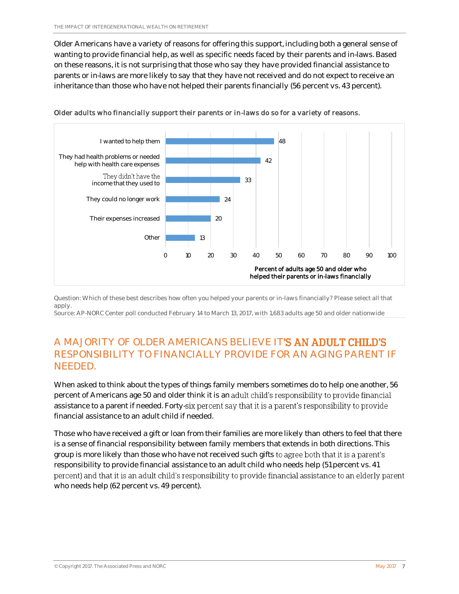Older Americans have a variety of reasons for offering this support, including both a general sense of wanting to provide financial help, as well as specific needs faced by their parents and in-laws. Based on these reasons, it is not surprising that those who say they have provided financial assistance to parents or in-laws are more likely to say that they have not received and do not expect to receive an inheritance than those who have not helped their parents financially (56 percent vs. 43 percent).





Question: Which of these best describes how often you helped your parents or in-laws financially? Please select all that apply.

Source: AP-NORC Center poll conducted February 14 to March 13, 2017, with 1,683 adults age 50 and older nationwide

# A MAJORITY OF OLDER AMERICANS BELIEVE IT'**S AN ADULT CHILD'S** RESPONSIBILITY TO FINANCIALLY PROVIDE FOR AN AGING PARENT IF NEEDED.

When asked to think about the types of things family members sometimes do to help one another, 56 percent of Americans age 50 and older think it is an adult child's responsibility to provide financial assistance to a parent if needed. Forty-six percent say that it is a parent's responsibility to provide financial assistance to an adult child if needed.

Those who have received a gift or loan from their families are more likely than others to feel that there is a sense of financial responsibility between family members that extends in both directions. This group is more likely than those who have not received such gifts to agree both that it is a parent's responsibility to provide financial assistance to an adult child who needs help (51 percent vs. 41 percent) and that it is an adult child's responsibility to provide financial assistance to an elderly parent who needs help (62 percent vs. 49 percent).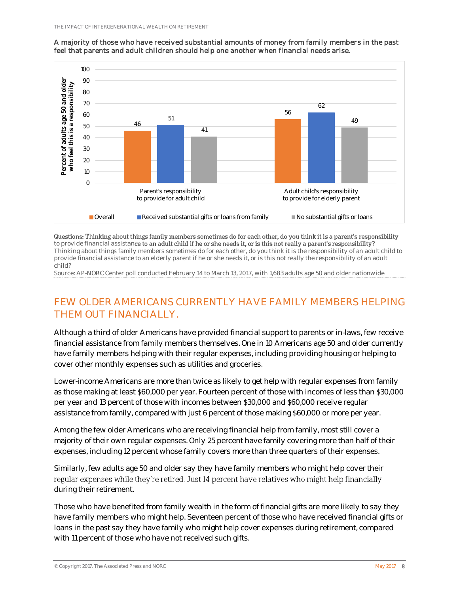

#### A majority of those who have received substantial amounts of money from family members in the past feel that parents and adult children should help one another when financial needs arise.

Questions: Thinking about things family members sometimes do for each other, do you think it is a parent's responsibility to provide financial assistance to an adult child if he or she needs it, or is this not really a parent's responsibility? Thinking about things family members sometimes do for each other, do you think it is the responsibility of an adult child to

provide financial assistance to an elderly parent if he or she needs it, or is this not really the responsibility of an adult child?

Source: AP-NORC Center poll conducted February 14 to March 13, 2017, with 1,683 adults age 50 and older nationwide

# FEW OLDER AMERICANS CURRENTLY HAVE FAMILY MEMBERS HELPING THEM OUT FINANCIALLY.

Although a third of older Americans have provided financial support to parents or in-laws, few receive financial assistance from family members themselves. One in 10 Americans age 50 and older currently have family members helping with their regular expenses, including providing housing or helping to cover other monthly expenses such as utilities and groceries.

Lower-income Americans are more than twice as likely to get help with regular expenses from family as those making at least \$60,000 per year. Fourteen percent of those with incomes of less than \$30,000 per year and 13 percent of those with incomes between \$30,000 and \$60,000 receive regular assistance from family, compared with just 6 percent of those making \$60,000 or more per year.

Among the few older Americans who are receiving financial help from family, most still cover a majority of their own regular expenses. Only 25 percent have family covering more than half of their expenses, including 12 percent whose family covers more than three quarters of their expenses.

Similarly, few adults age 50 and older say they have family members who might help cover their regular expenses while they're retired. Just 14 percent have relatives who might help financially during their retirement.

Those who have benefited from family wealth in the form of financial gifts are more likely to say they have family members who might help. Seventeen percent of those who have received financial gifts or loans in the past say they have family who might help cover expenses during retirement, compared with 11 percent of those who have not received such gifts.

© Copyright 2017. The Associated Press and NORC  $\blacksquare$  May 2017 8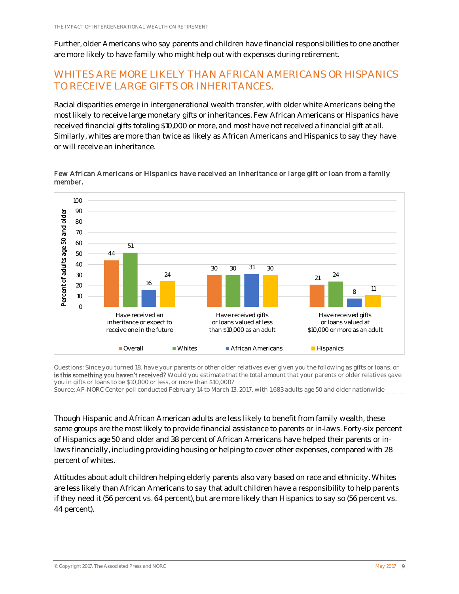Further, older Americans who say parents and children have financial responsibilities to one another are more likely to have family who might help out with expenses during retirement.

# WHITES ARE MORE LIKELY THAN AFRICAN AMERICANS OR HISPANICS TO RECEIVE LARGE GIFTS OR INHERITANCES.

Racial disparities emerge in intergenerational wealth transfer, with older white Americans being the most likely to receive large monetary gifts or inheritances. Few African Americans or Hispanics have received financial gifts totaling \$10,000 or more, and most have not received a financial gift at all. Similarly, whites are more than twice as likely as African Americans and Hispanics to say they have or will receive an inheritance.



Few African Americans or Hispanics have received an inheritance or large gift or loan from a family member.

Questions: Since you turned 18, have your parents or other older relatives ever given you the following as gifts or loans, or is this something you haven't received? Would you estimate that the total amount that your parents or older relatives gave you in gifts or loans to be \$10,000 or less, or more than \$10,000?

Source: AP-NORC Center poll conducted February 14 to March 13, 2017, with 1,683 adults age 50 and older nationwide

Though Hispanic and African American adults are less likely to benefit from family wealth, these same groups are the most likely to provide financial assistance to parents or in-laws. Forty-six percent of Hispanics age 50 and older and 38 percent of African Americans have helped their parents or inlaws financially, including providing housing or helping to cover other expenses, compared with 28 percent of whites.

Attitudes about adult children helping elderly parents also vary based on race and ethnicity. Whites are less likely than African Americans to say that adult children have a responsibility to help parents if they need it (56 percent vs. 64 percent), but are more likely than Hispanics to say so (56 percent vs. 44 percent).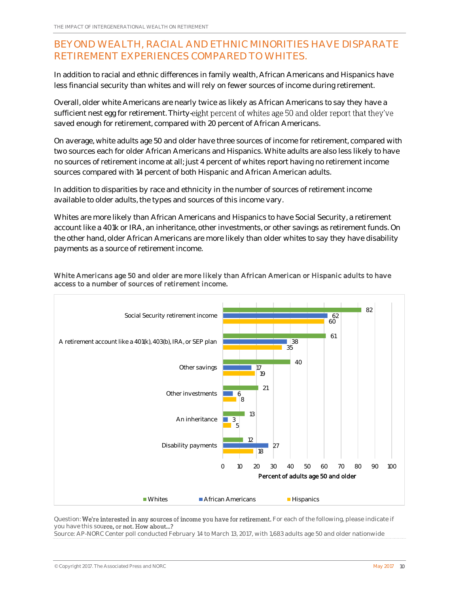# BEYOND WEALTH, RACIAL AND ETHNIC MINORITIES HAVE DISPARATE RETIREMENT EXPERIENCES COMPARED TO WHITES.

In addition to racial and ethnic differences in family wealth, African Americans and Hispanics have less financial security than whites and will rely on fewer sources of income during retirement.

Overall, older white Americans are nearly twice as likely as African Americans to say they have a sufficient nest egg for retirement. Thirty-eight percent of whites age 50 and older report that they've saved enough for retirement, compared with 20 percent of African Americans.

On average, white adults age 50 and older have three sources of income for retirement, compared with two sources each for older African Americans and Hispanics. White adults are also less likely to have no sources of retirement income at all; just 4 percent of whites report having no retirement income sources compared with 14 percent of both Hispanic and African American adults.

In addition to disparities by race and ethnicity in the number of sources of retirement income available to older adults, the types and sources of this income vary.

Whites are more likely than African Americans and Hispanics to have Social Security, a retirement account like a 401k or IRA, an inheritance, other investments, or other savings as retirement funds. On the other hand, older African Americans are more likely than older whites to say they have disability payments as a source of retirement income.

#### White Americans age 50 and older are more likely than African American or Hispanic adults to have access to a number of sources of retirement income.



Question: We're interested in any sources of income you have for retirement. For each of the following, please indicate if you have this source, or not. How about...?

Source: AP-NORC Center poll conducted February 14 to March 13, 2017, with 1,683 adults age 50 and older nationwide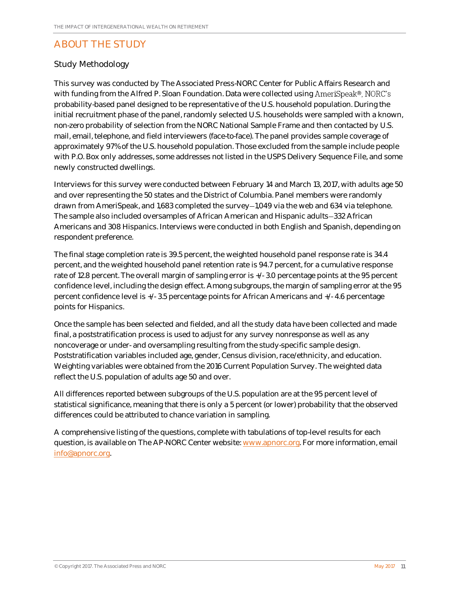# ABOUT THE STUDY

### Study Methodology

This survey was conducted by The Associated Press-NORC Center for Public Affairs Research and with funding from the Alfred P. Sloan Foundation. Data were collected using AmeriSpeak®, NORC's probability-based panel designed to be representative of the U.S. household population. During the initial recruitment phase of the panel, randomly selected U.S. households were sampled with a known, non-zero probability of selection from the NORC National Sample Frame and then contacted by U.S. mail, email, telephone, and field interviewers (face-to-face). The panel provides sample coverage of approximately 97% of the U.S. household population. Those excluded from the sample include people with P.O. Box only addresses, some addresses not listed in the USPS Delivery Sequence File, and some newly constructed dwellings.

Interviews for this survey were conducted between February 14 and March 13, 2017, with adults age 50 and over representing the 50 states and the District of Columbia. Panel members were randomly drawn from AmeriSpeak, and 1,683 completed the survey-1,049 via the web and 634 via telephone. The sample also included oversamples of African American and Hispanic adults-332 African Americans and 308 Hispanics. Interviews were conducted in both English and Spanish, depending on respondent preference.

The final stage completion rate is 39.5 percent, the weighted household panel response rate is 34.4 percent, and the weighted household panel retention rate is 94.7 percent, for a cumulative response rate of 12.8 percent. The overall margin of sampling error is +/- 3.0 percentage points at the 95 percent confidence level, including the design effect. Among subgroups, the margin of sampling error at the 95 percent confidence level is +/- 3.5 percentage points for African Americans and +/- 4.6 percentage points for Hispanics.

Once the sample has been selected and fielded, and all the study data have been collected and made final, a poststratification process is used to adjust for any survey nonresponse as well as any noncoverage or under- and oversampling resulting from the study-specific sample design. Poststratification variables included age, gender, Census division, race/ethnicity, and education. Weighting variables were obtained from the 2016 Current Population Survey. The weighted data reflect the U.S. population of adults age 50 and over.

All differences reported between subgroups of the U.S. population are at the 95 percent level of statistical significance, meaning that there is only a 5 percent (or lower) probability that the observed differences could be attributed to chance variation in sampling.

A comprehensive listing of the questions, complete with tabulations of top-level results for each question, is available on The AP-NORC Center website: [www.apnorc.org.](http://www.apnorc.org/) For more information, email [info@apnorc.org.](mailto:info@apnorc.org)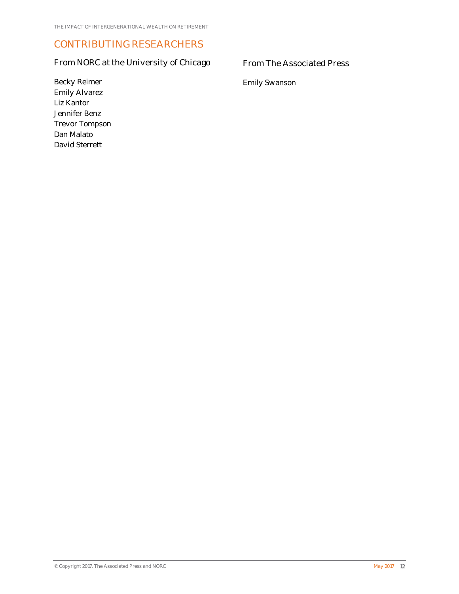# CONTRIBUTING RESEARCHERS

## From NORC at the University of Chicago

### From The Associated Press

Emily Swanson

Becky Reimer Emily Alvarez Liz Kantor Jennifer Benz Trevor Tompson Dan Malato David Sterrett